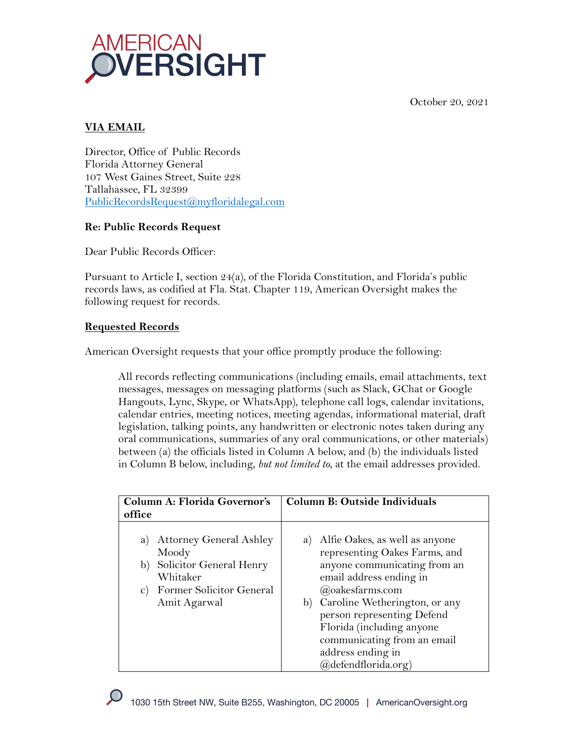October 20, 2021



## **VIA EMAIL**

Director, Office of Public Records Florida Attorney General 107 West Gaines Street, Suite 228 Tallahassee, FL 32399 PublicRecordsRequest@myfloridalegal.com

## **Re: Public Records Request**

Dear Public Records Officer:

Pursuant to Article I, section 24(a), of the Florida Constitution, and Florida's public records laws, as codified at Fla. Stat. Chapter 119, American Oversight makes the following request for records.

## **Requested Records**

American Oversight requests that your office promptly produce the following:

All records reflecting communications (including emails, email attachments, text messages, messages on messaging platforms (such as Slack, GChat or Google Hangouts, Lync, Skype, or WhatsApp), telephone call logs, calendar invitations, calendar entries, meeting notices, meeting agendas, informational material, draft legislation, talking points, any handwritten or electronic notes taken during any oral communications, summaries of any oral communications, or other materials) between (a) the officials listed in Column A below, and (b) the individuals listed in Column B below, including, *but not limited to*, at the email addresses provided.

| Column A: Florida Governor's<br>office                                                                                                                          | <b>Column B: Outside Individuals</b>                                                                                                                                                                                                                                                                                               |  |
|-----------------------------------------------------------------------------------------------------------------------------------------------------------------|------------------------------------------------------------------------------------------------------------------------------------------------------------------------------------------------------------------------------------------------------------------------------------------------------------------------------------|--|
|                                                                                                                                                                 |                                                                                                                                                                                                                                                                                                                                    |  |
| <b>Attorney General Ashley</b><br>a)<br>Moody<br>Solicitor General Henry<br>b)<br>Whitaker<br><b>Former Solicitor General</b><br>$\mathbf{C}$ )<br>Amit Agarwal | Alfie Oakes, as well as anyone<br>a)<br>representing Oakes Farms, and<br>anyone communicating from an<br>email address ending in<br>@oakesfarms.com<br>Caroline Wetherington, or any<br>b)<br>person representing Defend<br>Florida (including anyone<br>communicating from an email<br>address ending in<br>(a)defendflorida.org) |  |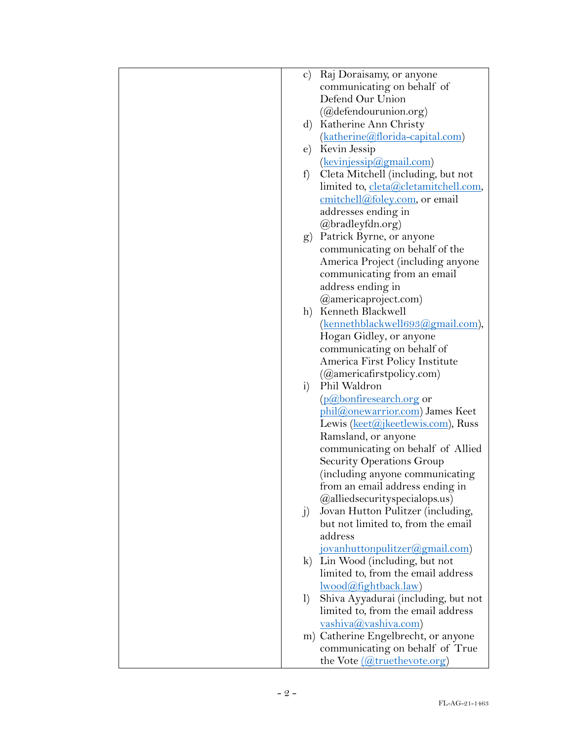| $\mathbf{c})$          | Raj Doraisamy, or anyone                                                  |
|------------------------|---------------------------------------------------------------------------|
|                        | communicating on behalf of                                                |
|                        | Defend Our Union                                                          |
|                        | $(Qd$ efendourunion.org)                                                  |
|                        | d) Katherine Ann Christy                                                  |
|                        | (katherine@florida-capital.com)                                           |
| $\mathbf{e})$          | Kevin Jessip                                                              |
|                        | (kevinjessip@gmail.com)                                                   |
| f                      | Cleta Mitchell (including, but not                                        |
|                        | limited to, cleta@cletamitchell.com,                                      |
|                        | cmitchell@foley.com, or email                                             |
|                        | addresses ending in                                                       |
|                        | @bradleyfdn.org)                                                          |
|                        | g) Patrick Byrne, or anyone                                               |
|                        | communicating on behalf of the                                            |
|                        | America Project (including anyone                                         |
|                        | communicating from an email                                               |
|                        | address ending in                                                         |
|                        | @americaproject.com)                                                      |
|                        | h) Kenneth Blackwell                                                      |
|                        | (kennethblackwell693@gmail.com),                                          |
|                        | Hogan Gidley, or anyone                                                   |
|                        | communicating on behalf of                                                |
|                        | America First Policy Institute                                            |
|                        | (Qamericafirst policy.com)                                                |
| i)                     | Phil Waldron                                                              |
|                        | (p@bonfiresearch.org or                                                   |
|                        | phil@onewarrior.com) James Keet                                           |
|                        | Lewis <u>(keet@jkeetlewis.com</u> ), Russ                                 |
|                        | Ramsland, or anyone                                                       |
|                        | communicating on behalf of Allied                                         |
|                        | Security Operations Group                                                 |
|                        | including anyone communicating                                            |
|                        | from an email address ending in                                           |
|                        | ( <i>Qalliedsecurityspecialops.us</i> )                                   |
| j)                     | Jovan Hutton Pulitzer (including,                                         |
|                        | but not limited to, from the email                                        |
|                        | address                                                                   |
|                        | jovanhuttonpulitzer@gmail.com)                                            |
| $\bf k$                | Lin Wood (including, but not                                              |
|                        | limited to, from the email address                                        |
|                        | <u>lwood@fightback.law</u> )                                              |
| $\left  \right\rangle$ | Shiva Ayyadurai (including, but not<br>limited to, from the email address |
|                        |                                                                           |
|                        | vashiva@vashiva.com)<br>m) Catherine Engelbrecht, or anyone               |
|                        | communicating on behalf of True                                           |
|                        | the Vote (@truethevote.org)                                               |
|                        |                                                                           |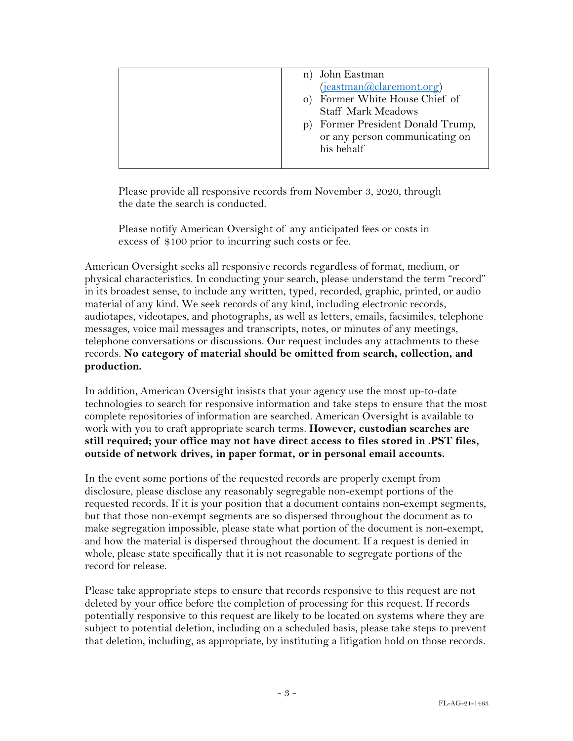| n) John Eastman                   |
|-----------------------------------|
| (jeastman@claremont.org)          |
| o) Former White House Chief of    |
| <b>Staff Mark Meadows</b>         |
| p) Former President Donald Trump, |
| or any person communicating on    |
| his behalf                        |
|                                   |

Please provide all responsive records from November 3, 2020, through the date the search is conducted.

Please notify American Oversight of any anticipated fees or costs in excess of \$100 prior to incurring such costs or fee.

American Oversight seeks all responsive records regardless of format, medium, or physical characteristics. In conducting your search, please understand the term "record" in its broadest sense, to include any written, typed, recorded, graphic, printed, or audio material of any kind. We seek records of any kind, including electronic records, audiotapes, videotapes, and photographs, as well as letters, emails, facsimiles, telephone messages, voice mail messages and transcripts, notes, or minutes of any meetings, telephone conversations or discussions. Our request includes any attachments to these records. **No category of material should be omitted from search, collection, and production.**

In addition, American Oversight insists that your agency use the most up-to-date technologies to search for responsive information and take steps to ensure that the most complete repositories of information are searched. American Oversight is available to work with you to craft appropriate search terms. **However, custodian searches are still required; your office may not have direct access to files stored in .PST files, outside of network drives, in paper format, or in personal email accounts.**

In the event some portions of the requested records are properly exempt from disclosure, please disclose any reasonably segregable non-exempt portions of the requested records. If it is your position that a document contains non-exempt segments, but that those non-exempt segments are so dispersed throughout the document as to make segregation impossible, please state what portion of the document is non-exempt, and how the material is dispersed throughout the document. If a request is denied in whole, please state specifically that it is not reasonable to segregate portions of the record for release.

Please take appropriate steps to ensure that records responsive to this request are not deleted by your office before the completion of processing for this request. If records potentially responsive to this request are likely to be located on systems where they are subject to potential deletion, including on a scheduled basis, please take steps to prevent that deletion, including, as appropriate, by instituting a litigation hold on those records.